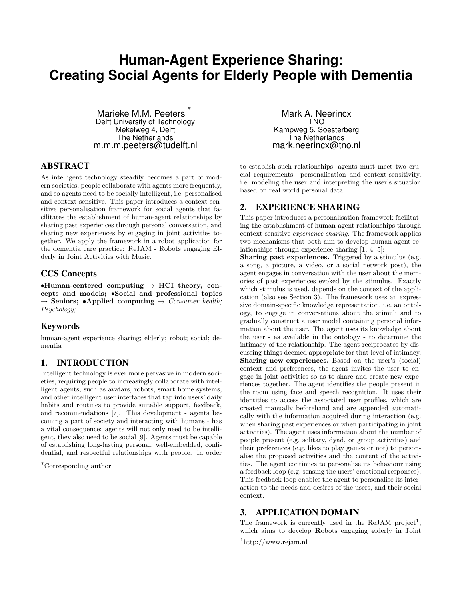# **Human-Agent Experience Sharing: Creating Social Agents for Elderly People with Dementia**

Marieke M.M. Peeters ∗ Delft University of Technology Mekelweg 4, Delft The Netherlands m.m.m.peeters@tudelft.nl

#### ABSTRACT

As intelligent technology steadily becomes a part of modern societies, people collaborate with agents more frequently, and so agents need to be socially intelligent, i.e. personalised and context-sensitive. This paper introduces a context-sensitive personalisation framework for social agents that facilitates the establishment of human-agent relationships by sharing past experiences through personal conversation, and sharing new experiences by engaging in joint activities together. We apply the framework in a robot application for the dementia care practice: ReJAM - Robots engaging Elderly in Joint Activities with Music.

## CCS Concepts

•Human-centered computing  $\rightarrow$  HCI theory, concepts and models; •Social and professional topics  $\rightarrow$  Seniors; •Applied computing  $\rightarrow$  Consumer health; Psychology;

## Keywords

human-agent experience sharing; elderly; robot; social; dementia

## 1. INTRODUCTION

Intelligent technology is ever more pervasive in modern societies, requiring people to increasingly collaborate with intelligent agents, such as avatars, robots, smart home systems, and other intelligent user interfaces that tap into users' daily habits and routines to provide suitable support, feedback, and recommendations [7]. This development - agents becoming a part of society and interacting with humans - has a vital consequence: agents will not only need to be intelligent, they also need to be social [9]. Agents must be capable of establishing long-lasting personal, well-embedded, confidential, and respectful relationships with people. In order

Mark A. Neerincx TNO Kampweg 5, Soesterberg The Netherlands mark.neerincx@tno.nl

to establish such relationships, agents must meet two crucial requirements: personalisation and context-sensitivity, i.e. modeling the user and interpreting the user's situation based on real world personal data.

## 2. EXPERIENCE SHARING

This paper introduces a personalisation framework facilitating the establishment of human-agent relationships through context-sensitive experience sharing. The framework applies two mechanisms that both aim to develop human-agent relationships through experience sharing [1, 4, 5]:

Sharing past experiences. Triggered by a stimulus (e.g. a song, a picture, a video, or a social network post), the agent engages in conversation with the user about the memories of past experiences evoked by the stimulus. Exactly which stimulus is used, depends on the context of the application (also see Section 3). The framework uses an expressive domain-specific knowledge representation, i.e. an ontology, to engage in conversations about the stimuli and to gradually construct a user model containing personal information about the user. The agent uses its knowledge about the user - as available in the ontology - to determine the intimacy of the relationship. The agent reciprocates by discussing things deemed appropriate for that level of intimacy. Sharing new experiences. Based on the user's (social) context and preferences, the agent invites the user to engage in joint activities so as to share and create new experiences together. The agent identifies the people present in the room using face and speech recognition. It uses their identities to access the associated user profiles, which are created manually beforehand and are appended automatically with the information acquired during interaction (e.g. when sharing past experiences or when participating in joint activities). The agent uses information about the number of people present (e.g. solitary, dyad, or group activities) and their preferences (e.g. likes to play games or not) to personalise the proposed activities and the content of the activities. The agent continues to personalise its behaviour using a feedback loop (e.g. sensing the users' emotional responses). This feedback loop enables the agent to personalise its interaction to the needs and desires of the users, and their social context.

## 3. APPLICATION DOMAIN

The framework is currently used in the ReJAM project<sup>1</sup>, which aims to develop Robots engaging elderly in Joint

<sup>∗</sup>Corresponding author.

<sup>1</sup>http://www.rejam.nl